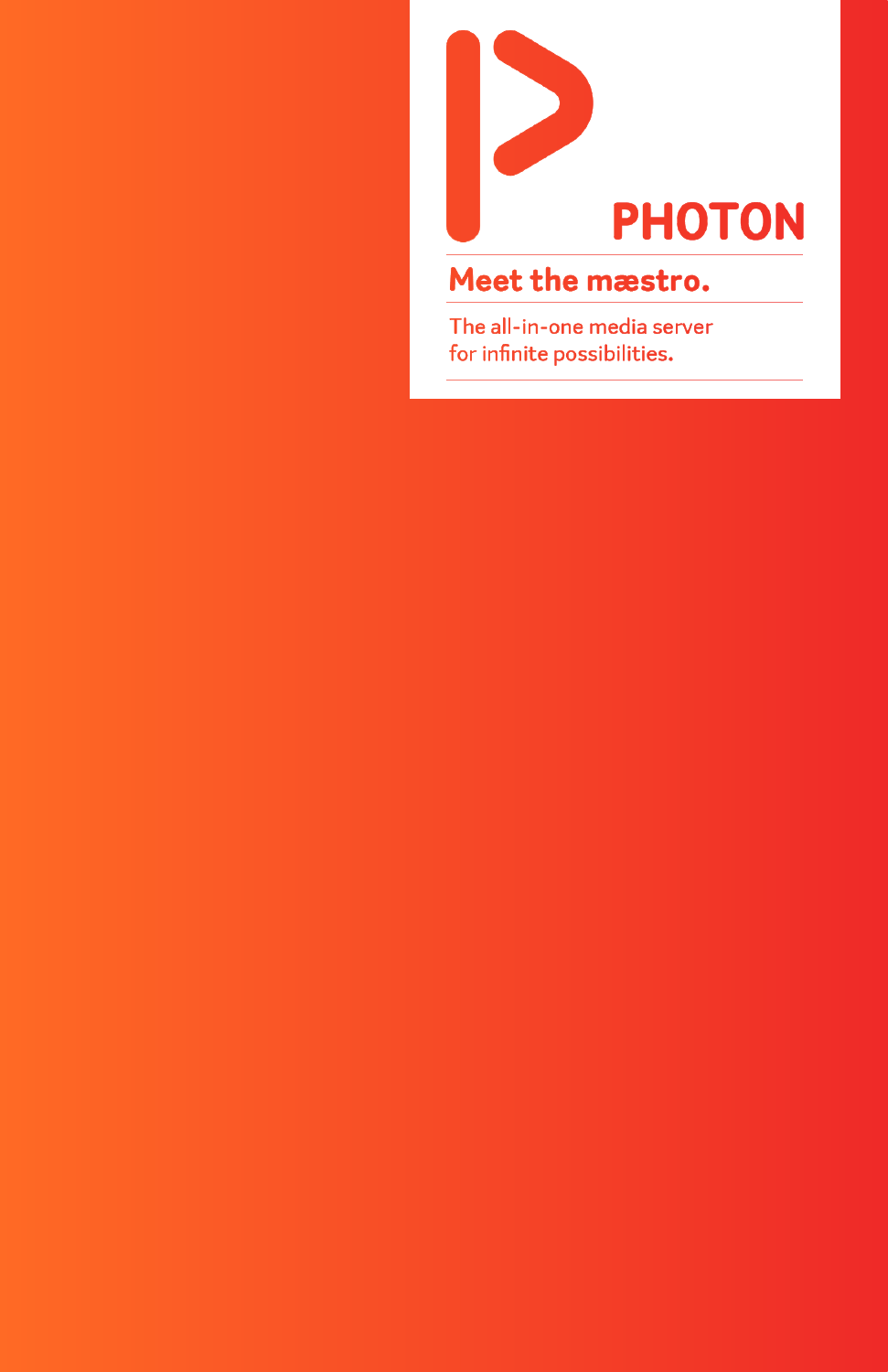## **PHOTON**

## Meet the mæstro.

The all-in-one media server for infinite possibilities.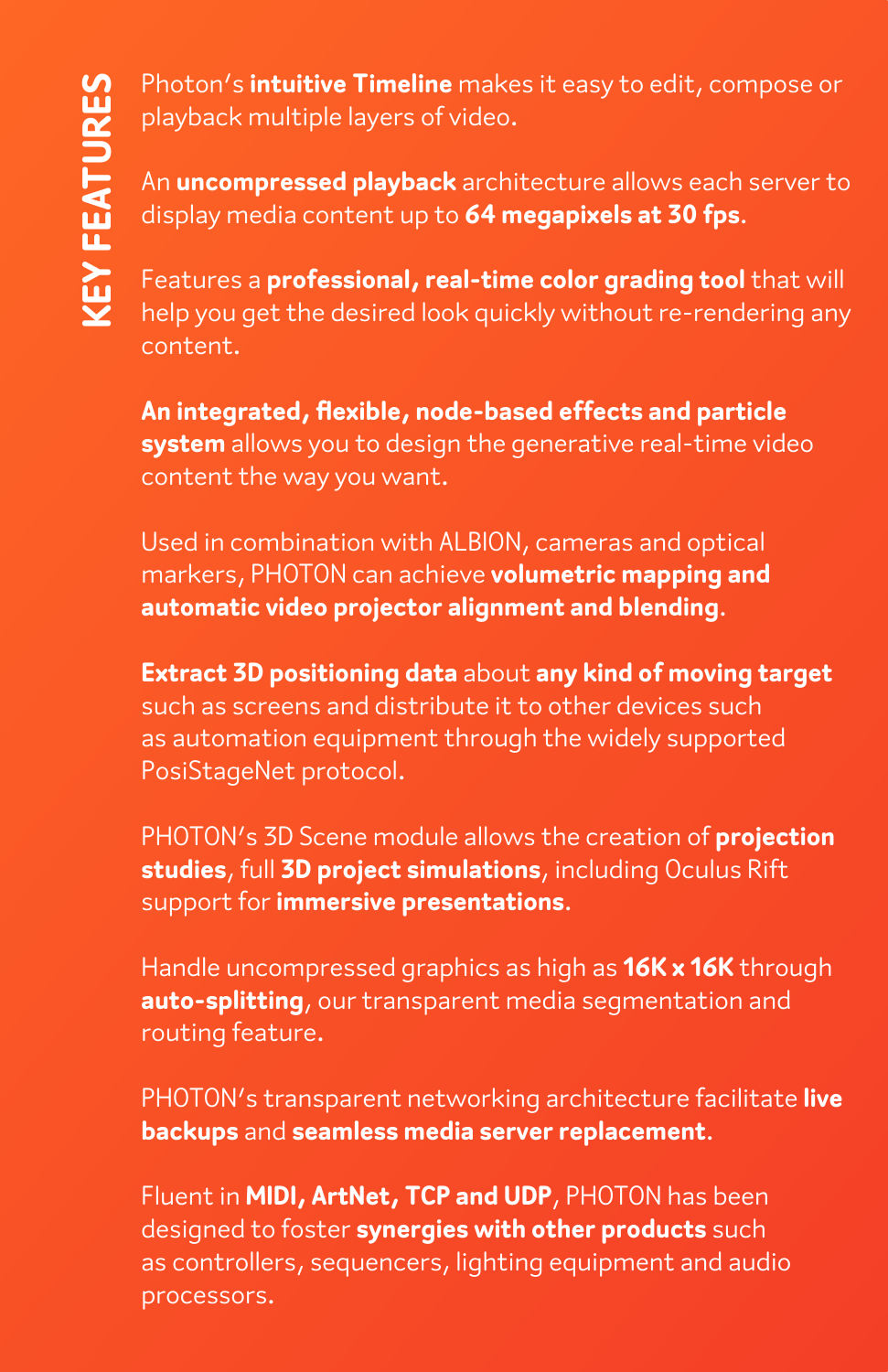Photon's **intuitive Timeline** makes it easy to edit, compose or playback multiple layers of video.

An **uncompressed playback** architecture allows each server to display media content up to **64 megapixels at 30 fps**.

Features a **professional, real-time color grading tool** that will help you get the desired look quickly without re-rendering any content.

**An integrated, flexible, node-based effects and particle system** allows you to design the generative real-time video content the way you want.

Used in combination with ALBION, cameras and optical markers, PHOTON can achieve **volumetric mapping and automatic video projector alignment and blending**.

**Extract 3D positioning data** about **any kind of moving target** such as screens and distribute it to other devices such as automation equipment through the widely supported PosiStageNet protocol.

PHOTON's 3D Scene module allows the creation of **projection studies**, full **3D project simulations**, including Oculus Rift support for **immersive presentations**.

Handle uncompressed graphics as high as **16K x 16K** through **auto-splitting**, our transparent media segmentation and routing feature.

PHOTON's transparent networking architecture facilitate **live backups** and **seamless media server replacement**.

Fluent in **MIDI, ArtNet, TCP and UDP**, PHOTON has been designed to foster **synergies with other products** such as controllers, sequencers, lighting equipment and audio processors.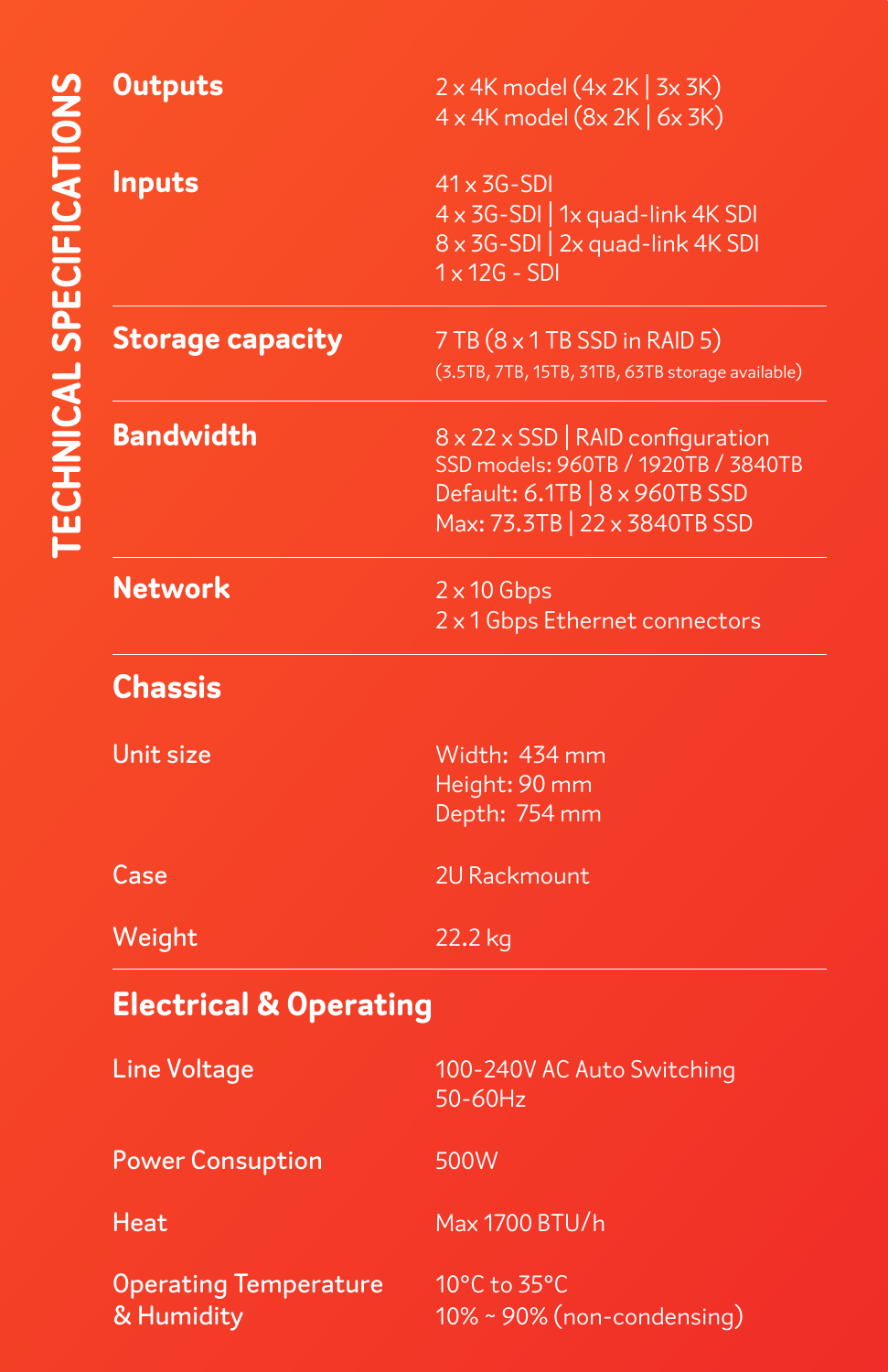| <b>Outputs</b>                             | $2 \times 4$ K model $(4 \times 2$ K   3x 3K)<br>$4 \times 4K$ model $(8 \times 2K)$ 6x 3K)                                                             |
|--------------------------------------------|---------------------------------------------------------------------------------------------------------------------------------------------------------|
| <b>Inputs</b>                              | $41 \times 3G - SDI$<br>$4 \times 3$ G-SDI   1x quad-link 4K SDI<br>8 x 3G-SDI   2x quad-link 4K SDI<br>$1 \times 12G - SDI$                            |
| <b>Storage capacity</b>                    | 7 TB (8 x 1 TB SSD in RAID 5)<br>(3.5TB, 7TB, 15TB, 31TB, 63TB storage available)                                                                       |
| <b>Bandwidth</b>                           | $8 \times 22 \times$ SSD   RAID configuration<br>SSD models: 960TB / 1920TB / 3840TB<br>Default: 6.1TB   8 x 960TB SSD<br>Max: 73.3TB   22 x 3840TB SSD |
| <b>Network</b>                             | $2 \times 10$ Gbps<br>2 x 1 Gbps Ethernet connectors                                                                                                    |
| <b>Chassis</b>                             |                                                                                                                                                         |
| Unit size                                  | Width: 434 mm<br>Height: 90 mm<br>Depth: 754 mm                                                                                                         |
| Case                                       | 2U Rackmount                                                                                                                                            |
| Weight                                     | 22.2 kg                                                                                                                                                 |
| <b>Electrical &amp; Operating</b>          |                                                                                                                                                         |
| <b>Line Voltage</b>                        | 100-240V AC Auto Switching<br>50-60Hz                                                                                                                   |
| <b>Power Consuption</b>                    | 500W                                                                                                                                                    |
| <b>Heat</b>                                | Max 1700 BTU/h                                                                                                                                          |
| <b>Operating Temperature</b><br>& Humidity | 10°C to 35°C<br>10% ~ 90% (non-condensing)                                                                                                              |